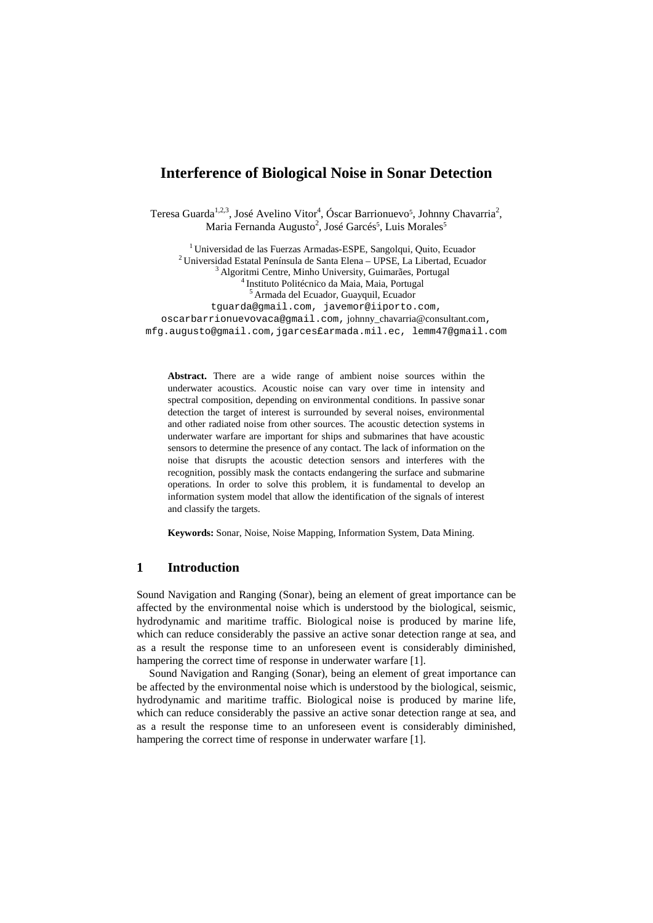# **Interference of Biological Noise in Sonar Detection**

Teresa Guarda<sup>1,2,3</sup>, José Avelino Vitor<sup>4</sup>, Óscar Barrionuevo<sup>5</sup>, Johnny Chavarria<sup>2</sup>, Maria Fernanda Augusto<sup>2</sup>, José Garcés<sup>5</sup>, Luis Morales<sup>5</sup>

<sup>1</sup> Universidad de las Fuerzas Armadas-ESPE, Sangolqui, Quito, Ecuador <sup>2</sup> Universidad Estatal Península de Santa Elena – UPSE, La Libertad, Ecuador <sup>3</sup> Algoritmi Centre, Minho University, Guimarães, Portugal  $4$  Institut <sup>5</sup> Armada del Ecuador, Guayquil, Ecuador tguarda@gmail.com, javemor@iiporto.com, oscarbarrionuevovaca@gmail.com, johnny\_chavarria@consultant.com, mfg.augusto@gmail.com,jgarces£armada.mil.ec, lemm47@gmail.com

**Abstract.** There are a wide range of ambient noise sources within the underwater acoustics. Acoustic noise can vary over time in intensity and spectral composition, depending on environmental conditions. In passive sonar detection the target of interest is surrounded by several noises, environmental and other radiated noise from other sources. The acoustic detection systems in underwater warfare are important for ships and submarines that have acoustic sensors to determine the presence of any contact. The lack of information on the noise that disrupts the acoustic detection sensors and interferes with the recognition, possibly mask the contacts endangering the surface and submarine operations. In order to solve this problem, it is fundamental to develop an information system model that allow the identification of the signals of interest and classify the targets.

**Keywords:** Sonar, Noise, Noise Mapping, Information System, Data Mining.

### **1 Introduction**

Sound Navigation and Ranging (Sonar), being an element of great importance can be affected by the environmental noise which is understood by the biological, seismic, hydrodynamic and maritime traffic. Biological noise is produced by marine life, which can reduce considerably the passive an active sonar detection range at sea, and as a result the response time to an unforeseen event is considerably diminished, hampering the correct time of response in underwater warfare [1].

Sound Navigation and Ranging (Sonar), being an element of great importance can be affected by the environmental noise which is understood by the biological, seismic, hydrodynamic and maritime traffic. Biological noise is produced by marine life, which can reduce considerably the passive an active sonar detection range at sea, and as a result the response time to an unforeseen event is considerably diminished, hampering the correct time of response in underwater warfare [1].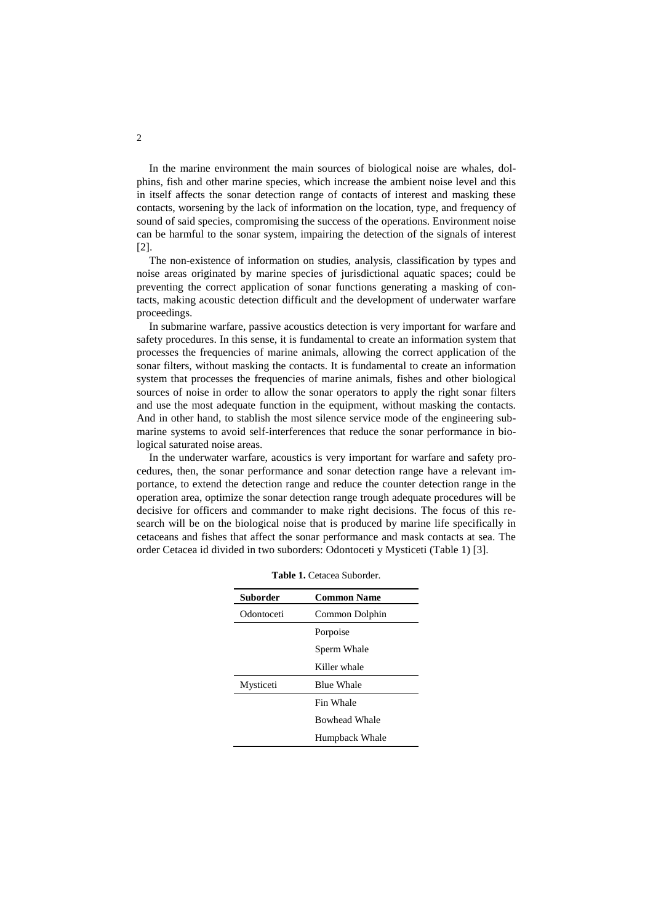In the marine environment the main sources of biological noise are whales, dolphins, fish and other marine species, which increase the ambient noise level and this in itself affects the sonar detection range of contacts of interest and masking these contacts, worsening by the lack of information on the location, type, and frequency of sound of said species, compromising the success of the operations. Environment noise can be harmful to the sonar system, impairing the detection of the signals of interest [2].

The non-existence of information on studies, analysis, classification by types and noise areas originated by marine species of jurisdictional aquatic spaces; could be preventing the correct application of sonar functions generating a masking of contacts, making acoustic detection difficult and the development of underwater warfare proceedings.

In submarine warfare, passive acoustics detection is very important for warfare and safety procedures. In this sense, it is fundamental to create an information system that processes the frequencies of marine animals, allowing the correct application of the sonar filters, without masking the contacts. It is fundamental to create an information system that processes the frequencies of marine animals, fishes and other biological sources of noise in order to allow the sonar operators to apply the right sonar filters and use the most adequate function in the equipment, without masking the contacts. And in other hand, to stablish the most silence service mode of the engineering submarine systems to avoid self-interferences that reduce the sonar performance in biological saturated noise areas.

In the underwater warfare, acoustics is very important for warfare and safety procedures, then, the sonar performance and sonar detection range have a relevant importance, to extend the detection range and reduce the counter detection range in the operation area, optimize the sonar detection range trough adequate procedures will be decisive for officers and commander to make right decisions. The focus of this research will be on the biological noise that is produced by marine life specifically in cetaceans and fishes that affect the sonar performance and mask contacts at sea. The order Cetacea id divided in two suborders: Odontoceti y Mysticeti (Table 1) [3].

| <b>Suborder</b> | <b>Common Name</b>   |
|-----------------|----------------------|
| Odontoceti      | Common Dolphin       |
|                 | Porpoise             |
|                 | Sperm Whale          |
|                 | Killer whale         |
| Mysticeti       | <b>Blue Whale</b>    |
|                 | Fin Whale            |
|                 | <b>Bowhead Whale</b> |
|                 | Humpback Whale       |

|  | <b>Fable 1.</b> Cetacea Suborder |
|--|----------------------------------|
|  |                                  |

2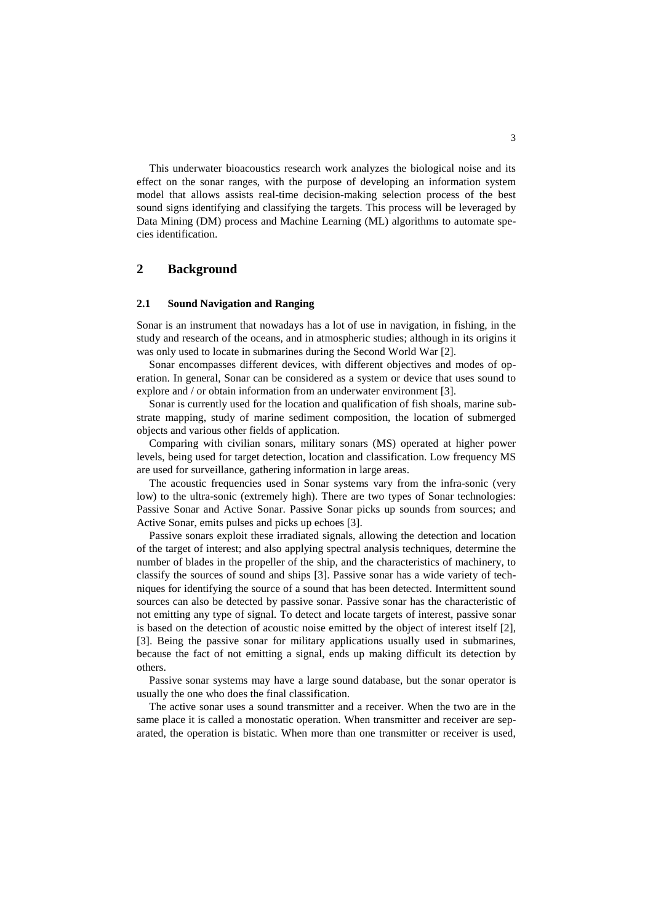This underwater bioacoustics research work analyzes the biological noise and its effect on the sonar ranges, with the purpose of developing an information system model that allows assists real-time decision-making selection process of the best sound signs identifying and classifying the targets. This process will be leveraged by Data Mining (DM) process and Machine Learning (ML) algorithms to automate species identification.

## **2 Background**

#### **2.1 Sound Navigation and Ranging**

Sonar is an instrument that nowadays has a lot of use in navigation, in fishing, in the study and research of the oceans, and in atmospheric studies; although in its origins it was only used to locate in submarines during the Second World War [2].

Sonar encompasses different devices, with different objectives and modes of operation. In general, Sonar can be considered as a system or device that uses sound to explore and / or obtain information from an underwater environment [3].

Sonar is currently used for the location and qualification of fish shoals, marine substrate mapping, study of marine sediment composition, the location of submerged objects and various other fields of application.

Comparing with civilian sonars, military sonars (MS) operated at higher power levels, being used for target detection, location and classification. Low frequency MS are used for surveillance, gathering information in large areas.

The acoustic frequencies used in Sonar systems vary from the infra-sonic (very low) to the ultra-sonic (extremely high). There are two types of Sonar technologies: Passive Sonar and Active Sonar. Passive Sonar picks up sounds from sources; and Active Sonar, emits pulses and picks up echoes [3].

Passive sonars exploit these irradiated signals, allowing the detection and location of the target of interest; and also applying spectral analysis techniques, determine the number of blades in the propeller of the ship, and the characteristics of machinery, to classify the sources of sound and ships [3]. Passive sonar has a wide variety of techniques for identifying the source of a sound that has been detected. Intermittent sound sources can also be detected by passive sonar. Passive sonar has the characteristic of not emitting any type of signal. To detect and locate targets of interest, passive sonar is based on the detection of acoustic noise emitted by the object of interest itself [2], [3]. Being the passive sonar for military applications usually used in submarines, because the fact of not emitting a signal, ends up making difficult its detection by others.

Passive sonar systems may have a large sound database, but the sonar operator is usually the one who does the final classification.

The active sonar uses a sound transmitter and a receiver. When the two are in the same place it is called a monostatic operation. When transmitter and receiver are separated, the operation is bistatic. When more than one transmitter or receiver is used,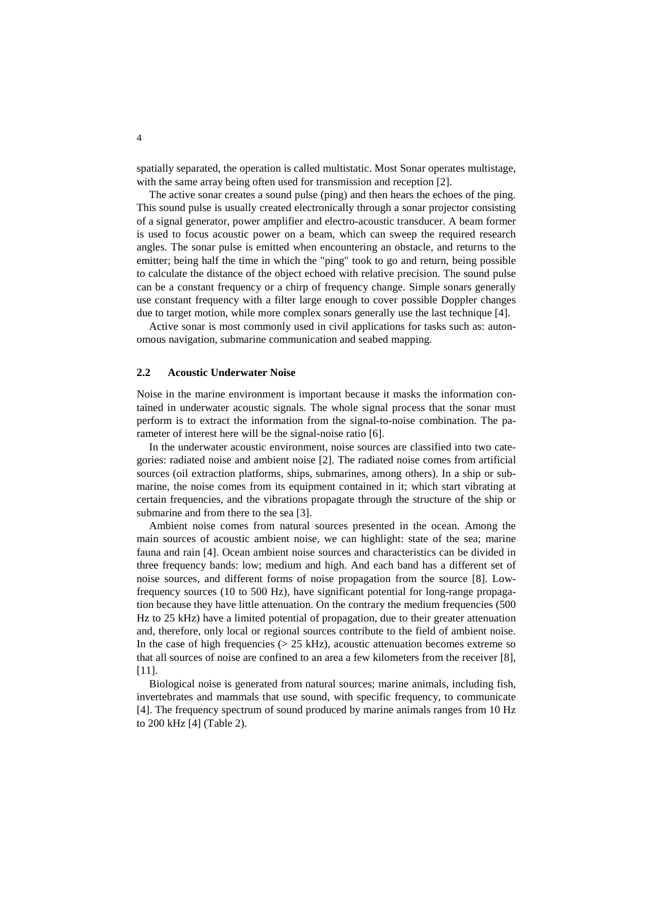spatially separated, the operation is called multistatic. Most Sonar operates multistage, with the same array being often used for transmission and reception [2].

The active sonar creates a sound pulse (ping) and then hears the echoes of the ping. This sound pulse is usually created electronically through a sonar projector consisting of a signal generator, power amplifier and electro-acoustic transducer. A beam former is used to focus acoustic power on a beam, which can sweep the required research angles. The sonar pulse is emitted when encountering an obstacle, and returns to the emitter; being half the time in which the "ping" took to go and return, being possible to calculate the distance of the object echoed with relative precision. The sound pulse can be a constant frequency or a chirp of frequency change. Simple sonars generally use constant frequency with a filter large enough to cover possible Doppler changes due to target motion, while more complex sonars generally use the last technique [4].

Active sonar is most commonly used in civil applications for tasks such as: autonomous navigation, submarine communication and seabed mapping.

#### **2.2 Acoustic Underwater Noise**

Noise in the marine environment is important because it masks the information contained in underwater acoustic signals. The whole signal process that the sonar must perform is to extract the information from the signal-to-noise combination. The parameter of interest here will be the signal-noise ratio [6].

In the underwater acoustic environment, noise sources are classified into two categories: radiated noise and ambient noise [2]. The radiated noise comes from artificial sources (oil extraction platforms, ships, submarines, among others). In a ship or submarine, the noise comes from its equipment contained in it; which start vibrating at certain frequencies, and the vibrations propagate through the structure of the ship or submarine and from there to the sea [3].

Ambient noise comes from natural sources presented in the ocean. Among the main sources of acoustic ambient noise, we can highlight: state of the sea; marine fauna and rain [4]. Ocean ambient noise sources and characteristics can be divided in three frequency bands: low; medium and high. And each band has a different set of noise sources, and different forms of noise propagation from the source [8]. Lowfrequency sources (10 to 500 Hz), have significant potential for long-range propagation because they have little attenuation. On the contrary the medium frequencies (500 Hz to 25 kHz) have a limited potential of propagation, due to their greater attenuation and, therefore, only local or regional sources contribute to the field of ambient noise. In the case of high frequencies ( $> 25$  kHz), acoustic attenuation becomes extreme so that all sources of noise are confined to an area a few kilometers from the receiver [8], [11].

Biological noise is generated from natural sources; marine animals, including fish, invertebrates and mammals that use sound, with specific frequency, to communicate [4]. The frequency spectrum of sound produced by marine animals ranges from 10 Hz to 200 kHz [4] (Table 2).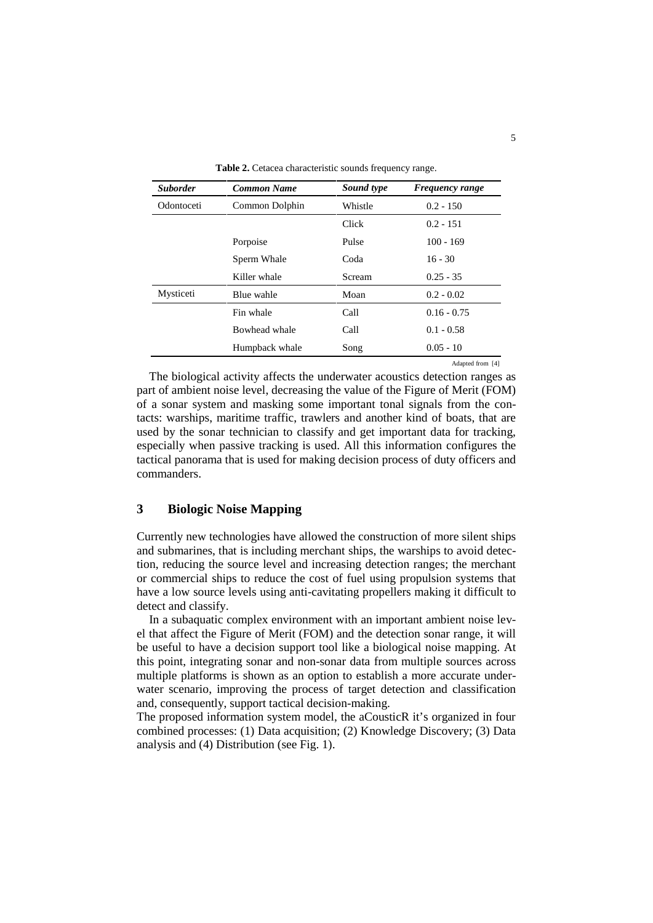| <b>Suborder</b> | <b>Common Name</b> | Sound type | <b>Frequency range</b> |
|-----------------|--------------------|------------|------------------------|
| Odontoceti      | Common Dolphin     | Whistle    | $0.2 - 150$            |
|                 |                    | Click      | $0.2 - 151$            |
|                 | Porpoise           | Pulse      | $100 - 169$            |
|                 | Sperm Whale        | Coda       | $16 - 30$              |
|                 | Killer whale       | Scream     | $0.25 - 35$            |
| Mysticeti       | Blue wahle         | Moan       | $0.2 - 0.02$           |
|                 | Fin whale          | Call       | $0.16 - 0.75$          |
|                 | Bowhead whale      | Call       | $0.1 - 0.58$           |
|                 | Humpback whale     | Song       | $0.05 - 10$            |

**Table 2.** Cetacea characteristic sounds frequency range.

Adapted from [4]

The biological activity affects the underwater acoustics detection ranges as part of ambient noise level, decreasing the value of the Figure of Merit (FOM) of a sonar system and masking some important tonal signals from the contacts: warships, maritime traffic, trawlers and another kind of boats, that are used by the sonar technician to classify and get important data for tracking, especially when passive tracking is used. All this information configures the tactical panorama that is used for making decision process of duty officers and commanders.

## **3 Biologic Noise Mapping**

Currently new technologies have allowed the construction of more silent ships and submarines, that is including merchant ships, the warships to avoid detection, reducing the source level and increasing detection ranges; the merchant or commercial ships to reduce the cost of fuel using propulsion systems that have a low source levels using anti-cavitating propellers making it difficult to detect and classify.

In a subaquatic complex environment with an important ambient noise level that affect the Figure of Merit (FOM) and the detection sonar range, it will be useful to have a decision support tool like a biological noise mapping. At this point, integrating sonar and non-sonar data from multiple sources across multiple platforms is shown as an option to establish a more accurate underwater scenario, improving the process of target detection and classification and, consequently, support tactical decision-making.

The proposed information system model, the aCousticR it's organized in four combined processes: (1) Data acquisition; (2) Knowledge Discovery; (3) Data analysis and (4) Distribution (see Fig. 1).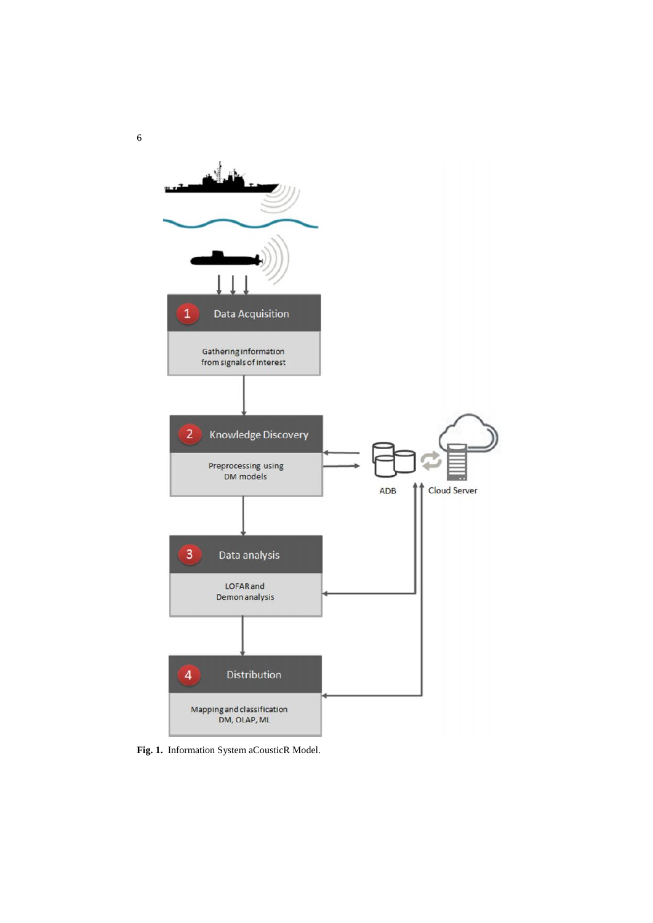

**Fig. 1.** Information System aCousticR Model.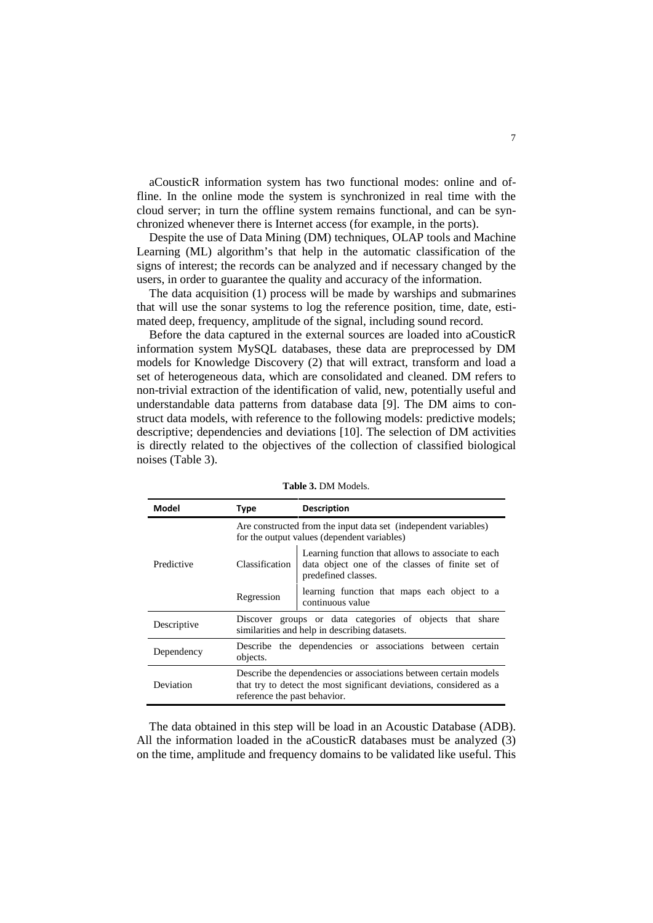aCousticR information system has two functional modes: online and offline. In the online mode the system is synchronized in real time with the cloud server; in turn the offline system remains functional, and can be synchronized whenever there is Internet access (for example, in the ports).

Despite the use of Data Mining (DM) techniques, OLAP tools and Machine Learning (ML) algorithm's that help in the automatic classification of the signs of interest; the records can be analyzed and if necessary changed by the users, in order to guarantee the quality and accuracy of the information.

The data acquisition (1) process will be made by warships and submarines that will use the sonar systems to log the reference position, time, date, estimated deep, frequency, amplitude of the signal, including sound record.

Before the data captured in the external sources are loaded into aCousticR information system MySQL databases, these data are preprocessed by DM models for Knowledge Discovery (2) that will extract, transform and load a set of heterogeneous data, which are consolidated and cleaned. DM refers to non-trivial extraction of the identification of valid, new, potentially useful and understandable data patterns from database data [9]. The DM aims to construct data models, with reference to the following models: predictive models; descriptive; dependencies and deviations [10]. The selection of DM activities is directly related to the objectives of the collection of classified biological noises (Table 3).

| Model       | Type                                                                                                                                                                    | <b>Description</b>                                                                                                           |  |
|-------------|-------------------------------------------------------------------------------------------------------------------------------------------------------------------------|------------------------------------------------------------------------------------------------------------------------------|--|
|             | Are constructed from the input data set (independent variables)<br>for the output values (dependent variables)                                                          |                                                                                                                              |  |
| Predictive  | Classification                                                                                                                                                          | Learning function that allows to associate to each<br>data object one of the classes of finite set of<br>predefined classes. |  |
|             | Regression                                                                                                                                                              | learning function that maps each object to a<br>continuous value                                                             |  |
| Descriptive | Discover groups or data categories of objects that share<br>similarities and help in describing datasets.                                                               |                                                                                                                              |  |
| Dependency  | Describe the dependencies or associations between certain<br>objects.                                                                                                   |                                                                                                                              |  |
| Deviation   | Describe the dependencies or associations between certain models<br>that try to detect the most significant deviations, considered as a<br>reference the past behavior. |                                                                                                                              |  |

**Table 3.** DM Models.

The data obtained in this step will be load in an Acoustic Database (ADB). All the information loaded in the aCousticR databases must be analyzed (3) on the time, amplitude and frequency domains to be validated like useful. This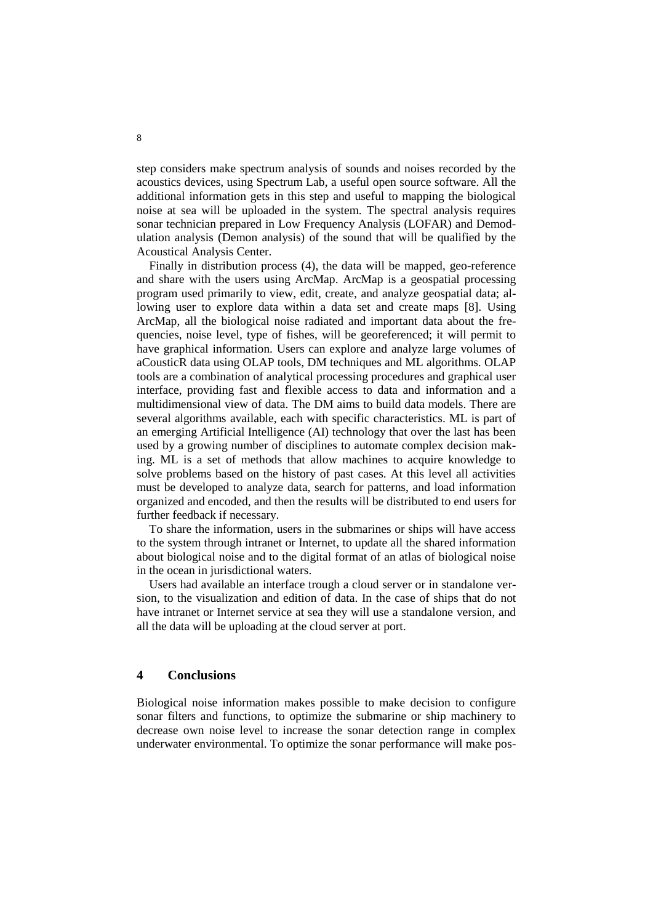step considers make spectrum analysis of sounds and noises recorded by the acoustics devices, using Spectrum Lab, a useful open source software. All the additional information gets in this step and useful to mapping the biological noise at sea will be uploaded in the system. The spectral analysis requires sonar technician prepared in Low Frequency Analysis (LOFAR) and Demodulation analysis (Demon analysis) of the sound that will be qualified by the Acoustical Analysis Center.

Finally in distribution process (4), the data will be mapped, geo-reference and share with the users using ArcMap. ArcMap is a geospatial processing program used primarily to view, edit, create, and analyze geospatial data; allowing user to explore data within a data set and create maps [8]. Using ArcMap, all the biological noise radiated and important data about the frequencies, noise level, type of fishes, will be georeferenced; it will permit to have graphical information. Users can explore and analyze large volumes of aCousticR data using OLAP tools, DM techniques and ML algorithms. OLAP tools are a combination of analytical processing procedures and graphical user interface, providing fast and flexible access to data and information and a multidimensional view of data. The DM aims to build data models. There are several algorithms available, each with specific characteristics. ML is part of an emerging Artificial Intelligence (AI) technology that over the last has been used by a growing number of disciplines to automate complex decision making. ML is a set of methods that allow machines to acquire knowledge to solve problems based on the history of past cases. At this level all activities must be developed to analyze data, search for patterns, and load information organized and encoded, and then the results will be distributed to end users for further feedback if necessary.

To share the information, users in the submarines or ships will have access to the system through intranet or Internet, to update all the shared information about biological noise and to the digital format of an atlas of biological noise in the ocean in jurisdictional waters.

Users had available an interface trough a cloud server or in standalone version, to the visualization and edition of data. In the case of ships that do not have intranet or Internet service at sea they will use a standalone version, and all the data will be uploading at the cloud server at port.

## **4 Conclusions**

Biological noise information makes possible to make decision to configure sonar filters and functions, to optimize the submarine or ship machinery to decrease own noise level to increase the sonar detection range in complex underwater environmental. To optimize the sonar performance will make pos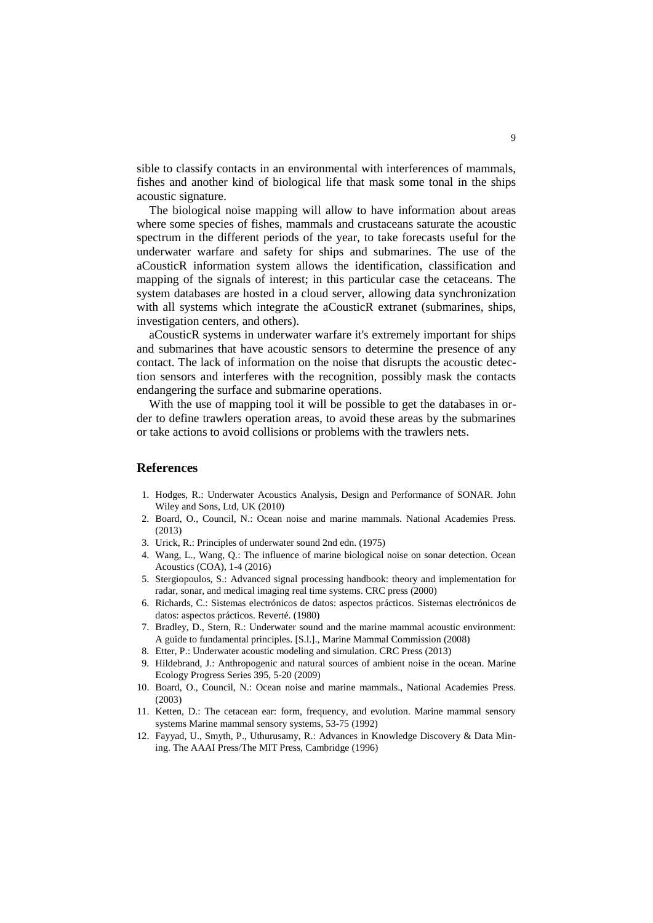sible to classify contacts in an environmental with interferences of mammals, fishes and another kind of biological life that mask some tonal in the ships acoustic signature.

The biological noise mapping will allow to have information about areas where some species of fishes, mammals and crustaceans saturate the acoustic spectrum in the different periods of the year, to take forecasts useful for the underwater warfare and safety for ships and submarines. The use of the aCousticR information system allows the identification, classification and mapping of the signals of interest; in this particular case the cetaceans. The system databases are hosted in a cloud server, allowing data synchronization with all systems which integrate the aCousticR extranet (submarines, ships, investigation centers, and others).

aCousticR systems in underwater warfare it's extremely important for ships and submarines that have acoustic sensors to determine the presence of any contact. The lack of information on the noise that disrupts the acoustic detection sensors and interferes with the recognition, possibly mask the contacts endangering the surface and submarine operations.

With the use of mapping tool it will be possible to get the databases in order to define trawlers operation areas, to avoid these areas by the submarines or take actions to avoid collisions or problems with the trawlers nets.

### **References**

- 1. Hodges, R.: Underwater Acoustics Analysis, Design and Performance of SONAR. John Wiley and Sons, Ltd, UK (2010)
- 2. Board, O., Council, N.: Ocean noise and marine mammals. National Academies Press. (2013)
- 3. Urick, R.: Principles of underwater sound 2nd edn. (1975)
- 4. Wang, L., Wang, Q.: The influence of marine biological noise on sonar detection. Ocean Acoustics (COA), 1-4 (2016)
- 5. Stergiopoulos, S.: Advanced signal processing handbook: theory and implementation for radar, sonar, and medical imaging real time systems. CRC press (2000)
- 6. Richards, C.: Sistemas electrónicos de datos: aspectos prácticos. Sistemas electrónicos de datos: aspectos prácticos. Reverté. (1980)
- 7. Bradley, D., Stern, R.: Underwater sound and the marine mammal acoustic environment: A guide to fundamental principles. [S.l.]., Marine Mammal Commission (2008)
- 8. Etter, P.: Underwater acoustic modeling and simulation. CRC Press (2013)
- 9. Hildebrand, J.: Anthropogenic and natural sources of ambient noise in the ocean. Marine Ecology Progress Series 395, 5-20 (2009)
- 10. Board, O., Council, N.: Ocean noise and marine mammals., National Academies Press. (2003)
- 11. Ketten, D.: The cetacean ear: form, frequency, and evolution. Marine mammal sensory systems Marine mammal sensory systems, 53-75 (1992)
- 12. Fayyad, U., Smyth, P., Uthurusamy, R.: Advances in Knowledge Discovery & Data Mining. The AAAI Press/The MIT Press, Cambridge (1996)